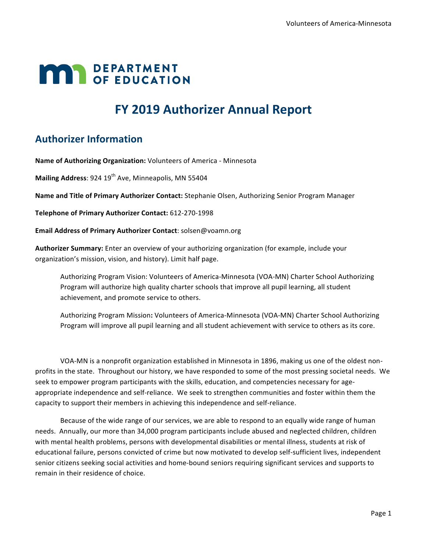# **MAR** DEPARTMENT

## **FY 2019 Authorizer Annual Report**

## **Authorizer Information**

Name of Authorizing Organization: Volunteers of America - Minnesota

**Mailing Address:** 924 19<sup>th</sup> Ave, Minneapolis, MN 55404

Name and Title of Primary Authorizer Contact: Stephanie Olsen, Authorizing Senior Program Manager

**Telephone of Primary Authorizer Contact:** 612-270-1998

**Email Address of Primary Authorizer Contact: solsen@voamn.org** 

Authorizer Summary: Enter an overview of your authorizing organization (for example, include your organization's mission, vision, and history). Limit half page.

Authorizing Program Vision: Volunteers of America-Minnesota (VOA-MN) Charter School Authorizing Program will authorize high quality charter schools that improve all pupil learning, all student achievement, and promote service to others.

Authorizing Program Mission: Volunteers of America-Minnesota (VOA-MN) Charter School Authorizing Program will improve all pupil learning and all student achievement with service to others as its core.

VOA-MN is a nonprofit organization established in Minnesota in 1896, making us one of the oldest nonprofits in the state. Throughout our history, we have responded to some of the most pressing societal needs. We seek to empower program participants with the skills, education, and competencies necessary for ageappropriate independence and self-reliance. We seek to strengthen communities and foster within them the capacity to support their members in achieving this independence and self-reliance.

Because of the wide range of our services, we are able to respond to an equally wide range of human needs. Annually, our more than 34,000 program participants include abused and neglected children, children with mental health problems, persons with developmental disabilities or mental illness, students at risk of educational failure, persons convicted of crime but now motivated to develop self-sufficient lives, independent senior citizens seeking social activities and home-bound seniors requiring significant services and supports to remain in their residence of choice.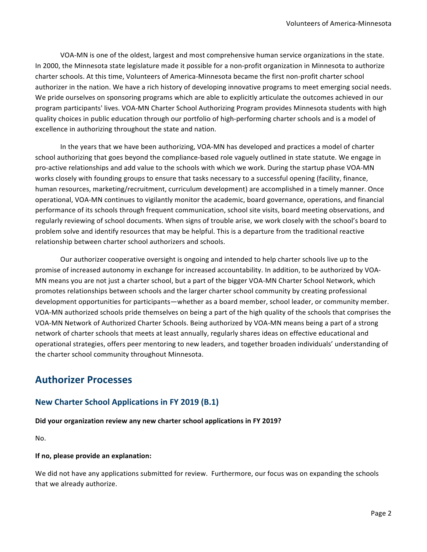VOA-MN is one of the oldest, largest and most comprehensive human service organizations in the state. In 2000, the Minnesota state legislature made it possible for a non-profit organization in Minnesota to authorize charter schools. At this time, Volunteers of America-Minnesota became the first non-profit charter school authorizer in the nation. We have a rich history of developing innovative programs to meet emerging social needs. We pride ourselves on sponsoring programs which are able to explicitly articulate the outcomes achieved in our program participants' lives. VOA-MN Charter School Authorizing Program provides Minnesota students with high quality choices in public education through our portfolio of high-performing charter schools and is a model of excellence in authorizing throughout the state and nation.

In the years that we have been authorizing, VOA-MN has developed and practices a model of charter school authorizing that goes beyond the compliance-based role vaguely outlined in state statute. We engage in pro-active relationships and add value to the schools with which we work. During the startup phase VOA-MN works closely with founding groups to ensure that tasks necessary to a successful opening (facility, finance, human resources, marketing/recruitment, curriculum development) are accomplished in a timely manner. Once operational, VOA-MN continues to vigilantly monitor the academic, board governance, operations, and financial performance of its schools through frequent communication, school site visits, board meeting observations, and regularly reviewing of school documents. When signs of trouble arise, we work closely with the school's board to problem solve and identify resources that may be helpful. This is a departure from the traditional reactive relationship between charter school authorizers and schools.

Our authorizer cooperative oversight is ongoing and intended to help charter schools live up to the promise of increased autonomy in exchange for increased accountability. In addition, to be authorized by VOA-MN means you are not just a charter school, but a part of the bigger VOA-MN Charter School Network, which promotes relationships between schools and the larger charter school community by creating professional development opportunities for participants—whether as a board member, school leader, or community member. VOA-MN authorized schools pride themselves on being a part of the high quality of the schools that comprises the VOA-MN Network of Authorized Charter Schools. Being authorized by VOA-MN means being a part of a strong network of charter schools that meets at least annually, regularly shares ideas on effective educational and operational strategies, offers peer mentoring to new leaders, and together broaden individuals' understanding of the charter school community throughout Minnesota.

### **Authorizer Processes**

#### **New Charter School Applications in FY 2019 (B.1)**

#### Did your organization review any new charter school applications in FY 2019?

No.

#### **If no, please provide an explanation:**

We did not have any applications submitted for review. Furthermore, our focus was on expanding the schools that we already authorize.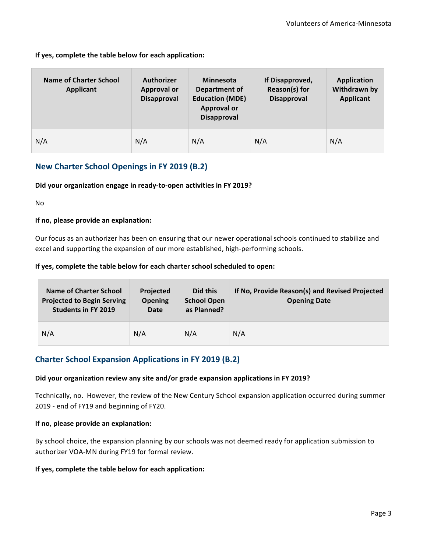#### If yes, complete the table below for each application:

| Name of Charter School<br><b>Applicant</b> | <b>Authorizer</b><br><b>Approval or</b><br><b>Disapproval</b> | <b>Minnesota</b><br><b>Department of</b><br><b>Education (MDE)</b><br><b>Approval or</b><br><b>Disapproval</b> | If Disapproved,<br>Reason(s) for<br><b>Disapproval</b> | <b>Application</b><br>Withdrawn by<br><b>Applicant</b> |
|--------------------------------------------|---------------------------------------------------------------|----------------------------------------------------------------------------------------------------------------|--------------------------------------------------------|--------------------------------------------------------|
| N/A                                        | N/A                                                           | N/A                                                                                                            | N/A                                                    | N/A                                                    |

#### **New Charter School Openings in FY 2019 (B.2)**

#### Did your organization engage in ready-to-open activities in FY 2019?

No

#### **If no, please provide an explanation:**

Our focus as an authorizer has been on ensuring that our newer operational schools continued to stabilize and excel and supporting the expansion of our more established, high-performing schools.

#### If yes, complete the table below for each charter school scheduled to open:

| Name of Charter School<br><b>Projected to Begin Serving</b><br><b>Students in FY 2019</b> | <b>Projected</b><br><b>Opening</b><br><b>Date</b> | Did this<br><b>School Open</b><br>as Planned? | If No, Provide Reason(s) and Revised Projected<br><b>Opening Date</b> |
|-------------------------------------------------------------------------------------------|---------------------------------------------------|-----------------------------------------------|-----------------------------------------------------------------------|
| N/A                                                                                       | N/A                                               | N/A                                           | N/A                                                                   |

#### **Charter School Expansion Applications in FY 2019 (B.2)**

#### Did your organization review any site and/or grade expansion applications in FY 2019?

Technically, no. However, the review of the New Century School expansion application occurred during summer 2019 - end of FY19 and beginning of FY20.

#### **If no, please provide an explanation:**

By school choice, the expansion planning by our schools was not deemed ready for application submission to authorizer VOA-MN during FY19 for formal review.

#### If yes, complete the table below for each application: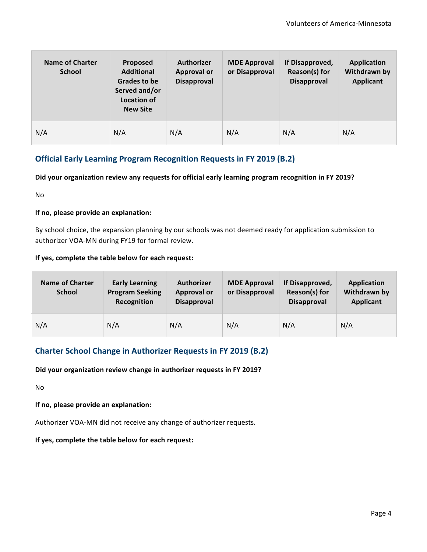| Name of Charter<br><b>School</b> | <b>Proposed</b><br><b>Additional</b><br>Grades to be<br>Served and/or<br>Location of<br><b>New Site</b> | <b>Authorizer</b><br><b>Approval or</b><br>Disapproval | <b>MDE Approval</b><br>or Disapproval | If Disapproved,<br>Reason(s) for<br>Disapproval | Application<br>Withdrawn by<br><b>Applicant</b> |
|----------------------------------|---------------------------------------------------------------------------------------------------------|--------------------------------------------------------|---------------------------------------|-------------------------------------------------|-------------------------------------------------|
| N/A                              | N/A                                                                                                     | N/A                                                    | N/A                                   | N/A                                             | N/A                                             |

#### **Official Early Learning Program Recognition Requests in FY 2019 (B.2)**

#### Did your organization review any requests for official early learning program recognition in FY 2019?

No

#### **If no, please provide an explanation:**

By school choice, the expansion planning by our schools was not deemed ready for application submission to authorizer VOA-MN during FY19 for formal review.

#### If yes, complete the table below for each request:

| <b>Name of Charter</b><br><b>School</b> | <b>Early Learning</b><br><b>Program Seeking</b><br>Recognition | <b>Authorizer</b><br><b>Approval or</b><br><b>Disapproval</b> | <b>MDE Approval</b><br>or Disapproval | If Disapproved,<br>Reason(s) for<br><b>Disapproval</b> | <b>Application</b><br>Withdrawn by<br><b>Applicant</b> |
|-----------------------------------------|----------------------------------------------------------------|---------------------------------------------------------------|---------------------------------------|--------------------------------------------------------|--------------------------------------------------------|
| N/A                                     | N/A                                                            | N/A                                                           | N/A                                   | N/A                                                    | N/A                                                    |

#### **Charter School Change in Authorizer Requests in FY 2019 (B.2)**

#### Did your organization review change in authorizer requests in FY 2019?

No

**If no, please provide an explanation:** 

Authorizer VOA-MN did not receive any change of authorizer requests.

#### If yes, complete the table below for each request: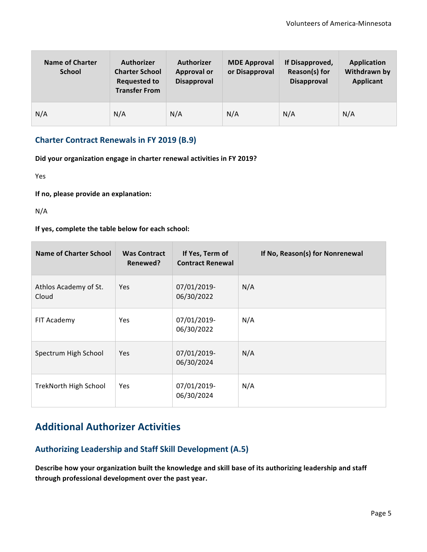| <b>Name of Charter</b><br><b>School</b> | <b>Authorizer</b><br><b>Charter School</b><br><b>Requested to</b><br><b>Transfer From</b> | <b>Authorizer</b><br><b>Approval or</b><br>Disapproval | <b>MDE Approval</b><br>or Disapproval | If Disapproved,<br>Reason(s) for<br><b>Disapproval</b> | <b>Application</b><br>Withdrawn by<br><b>Applicant</b> |
|-----------------------------------------|-------------------------------------------------------------------------------------------|--------------------------------------------------------|---------------------------------------|--------------------------------------------------------|--------------------------------------------------------|
| N/A                                     | N/A                                                                                       | N/A                                                    | N/A                                   | N/A                                                    | N/A                                                    |

#### **Charter Contract Renewals in FY 2019 (B.9)**

Did your organization engage in charter renewal activities in FY 2019?

Yes

**If no, please provide an explanation:** 

N/A

If yes, complete the table below for each school:

| Name of Charter School         | <b>Was Contract</b><br>Renewed? | If Yes, Term of<br><b>Contract Renewal</b> | If No, Reason(s) for Nonrenewal |
|--------------------------------|---------------------------------|--------------------------------------------|---------------------------------|
| Athlos Academy of St.<br>Cloud | Yes.                            | 07/01/2019-<br>06/30/2022                  | N/A                             |
| FIT Academy                    | <b>Yes</b>                      | 07/01/2019-<br>06/30/2022                  | N/A                             |
| Spectrum High School           | Yes                             | 07/01/2019-<br>06/30/2024                  | N/A                             |
| TrekNorth High School          | Yes.                            | 07/01/2019-<br>06/30/2024                  | N/A                             |

## **Additional Authorizer Activities**

#### Authorizing Leadership and Staff Skill Development (A.5)

Describe how your organization built the knowledge and skill base of its authorizing leadership and staff through professional development over the past year.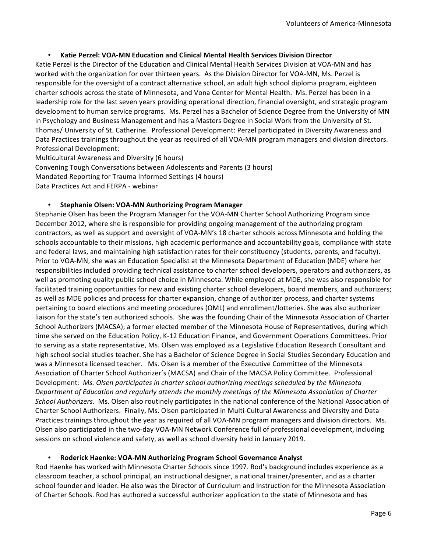#### • **Katie Perzel: VOA-MN Education and Clinical Mental Health Services Division Director**

Katie Perzel is the Director of the Education and Clinical Mental Health Services Division at VOA-MN and has worked with the organization for over thirteen years. As the Division Director for VOA-MN, Ms. Perzel is responsible for the oversight of a contract alternative school, an adult high school diploma program, eighteen charter schools across the state of Minnesota, and Vona Center for Mental Health. Ms. Perzel has been in a leadership role for the last seven years providing operational direction, financial oversight, and strategic program development to human service programs. Ms. Perzel has a Bachelor of Science Degree from the University of MN in Psychology and Business Management and has a Masters Degree in Social Work from the University of St. Thomas/ University of St. Catherine. Professional Development: Perzel participated in Diversity Awareness and Data Practices trainings throughout the year as required of all VOA-MN program managers and division directors. Professional Development:

Multicultural Awareness and Diversity (6 hours) Convening Tough Conversations between Adolescents and Parents (3 hours) Mandated Reporting for Trauma Informed Settings (4 hours) Data Practices Act and FERPA - webinar

#### • **Stephanie Olsen: VOA-MN Authorizing Program Manager**

Stephanie Olsen has been the Program Manager for the VOA-MN Charter School Authorizing Program since December 2012, where she is responsible for providing ongoing management of the authorizing program contractors, as well as support and oversight of VOA-MN's 18 charter schools across Minnesota and holding the schools accountable to their missions, high academic performance and accountability goals, compliance with state and federal laws, and maintaining high satisfaction rates for their constituency (students, parents, and faculty). Prior to VOA-MN, she was an Education Specialist at the Minnesota Department of Education (MDE) where her responsibilities included providing technical assistance to charter school developers, operators and authorizers, as well as promoting quality public school choice in Minnesota. While employed at MDE, she was also responsible for facilitated training opportunities for new and existing charter school developers, board members, and authorizers; as well as MDE policies and process for charter expansion, change of authorizer process, and charter systems pertaining to board elections and meeting procedures (OML) and enrollment/lotteries. She was also authorizer liaison for the state's ten authorized schools. She was the founding Chair of the Minnesota Association of Charter School Authorizers (MACSA); a former elected member of the Minnesota House of Representatives, during which time she served on the Education Policy, K-12 Education Finance, and Government Operations Committees. Prior to serving as a state representative, Ms. Olsen was employed as a Legislative Education Research Consultant and high school social studies teacher. She has a Bachelor of Science Degree in Social Studies Secondary Education and was a Minnesota licensed teacher. Ms. Olsen is a member of the Executive Committee of the Minnesota Association of Charter School Authorizer's (MACSA) and Chair of the MACSA Policy Committee. Professional Development: *Ms. Olsen participates in charter school authorizing meetings scheduled by the Minnesota Department of Education and regularly attends the monthly meetings of the Minnesota Association of Charter School Authorizers.* Ms. Olsen also routinely participates in the national conference of the National Association of Charter School Authorizers. Finally, Ms. Olsen participated in Multi-Cultural Awareness and Diversity and Data Practices trainings throughout the year as required of all VOA-MN program managers and division directors. Ms. Olsen also participated in the two-day VOA-MN Network Conference full of professional development, including sessions on school violence and safety, as well as school diversity held in January 2019.

#### • **Roderick Haenke: VOA-MN Authorizing Program School Governance Analyst**

Rod Haenke has worked with Minnesota Charter Schools since 1997. Rod's background includes experience as a classroom teacher, a school principal, an instructional designer, a national trainer/presenter, and as a charter school founder and leader. He also was the Director of Curriculum and Instruction for the Minnesota Association of Charter Schools. Rod has authored a successful authorizer application to the state of Minnesota and has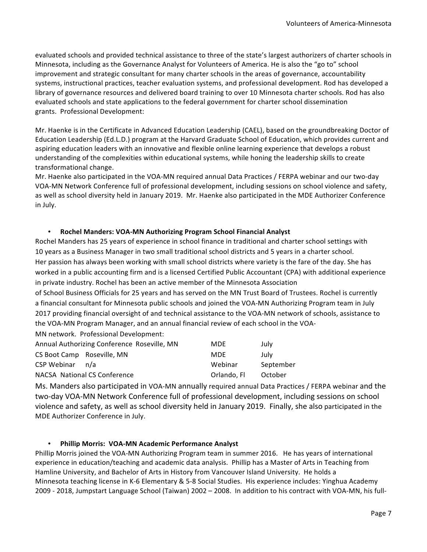evaluated schools and provided technical assistance to three of the state's largest authorizers of charter schools in Minnesota, including as the Governance Analyst for Volunteers of America. He is also the "go to" school improvement and strategic consultant for many charter schools in the areas of governance, accountability systems, instructional practices, teacher evaluation systems, and professional development. Rod has developed a library of governance resources and delivered board training to over 10 Minnesota charter schools. Rod has also evaluated schools and state applications to the federal government for charter school dissemination grants.  Professional Development: 

Mr. Haenke is in the Certificate in Advanced Education Leadership (CAEL), based on the groundbreaking Doctor of Education Leadership (Ed.L.D.) program at the Harvard Graduate School of Education, which provides current and aspiring education leaders with an innovative and flexible online learning experience that develops a robust understanding of the complexities within educational systems, while honing the leadership skills to create transformational change.

Mr. Haenke also participated in the VOA-MN required annual Data Practices / FERPA webinar and our two-day VOA-MN Network Conference full of professional development, including sessions on school violence and safety, as well as school diversity held in January 2019. Mr. Haenke also participated in the MDE Authorizer Conference in July.

#### • **Rochel Manders: VOA-MN Authorizing Program School Financial Analyst**

Rochel Manders has 25 years of experience in school finance in traditional and charter school settings with 10 years as a Business Manager in two small traditional school districts and 5 years in a charter school. Her passion has always been working with small school districts where variety is the fare of the day. She has worked in a public accounting firm and is a licensed Certified Public Accountant (CPA) with additional experience in private industry. Rochel has been an active member of the Minnesota Association

of School Business Officials for 25 years and has served on the MN Trust Board of Trustees. Rochel is currently a financial consultant for Minnesota public schools and joined the VOA-MN Authorizing Program team in July 2017 providing financial oversight of and technical assistance to the VOA-MN network of schools, assistance to the VOA-MN Program Manager, and an annual financial review of each school in the VOA-MN network. Professional Development:

|                            | Annual Authorizing Conference Roseville, MN | <b>MDE</b>  | July      |
|----------------------------|---------------------------------------------|-------------|-----------|
| CS Boot Camp Roseville, MN |                                             | <b>MDE</b>  | July      |
| CSP Webinar n/a            |                                             | Webinar     | September |
|                            | NACSA National CS Conference                | Orlando, Fl | October   |

Ms. Manders also participated in VOA-MN annually required annual Data Practices / FERPA webinar and the two-day VOA-MN Network Conference full of professional development, including sessions on school violence and safety, as well as school diversity held in January 2019. Finally, she also participated in the MDE Authorizer Conference in July.

#### • **Phillip Morris: VOA-MN Academic Performance Analyst**

Phillip Morris joined the VOA-MN Authorizing Program team in summer 2016. He has years of international experience in education/teaching and academic data analysis. Phillip has a Master of Arts in Teaching from Hamline University, and Bachelor of Arts in History from Vancouver Island University. He holds a Minnesota teaching license in K-6 Elementary & 5-8 Social Studies. His experience includes: Yinghua Academy 2009 - 2018, Jumpstart Language School (Taiwan) 2002 – 2008. In addition to his contract with VOA-MN, his full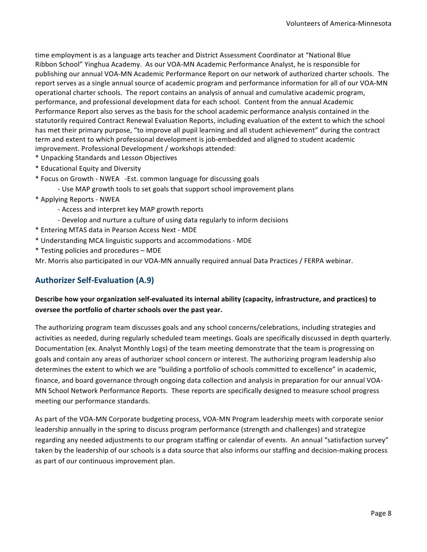time employment is as a language arts teacher and District Assessment Coordinator at "National Blue Ribbon School" Yinghua Academy. As our VOA-MN Academic Performance Analyst, he is responsible for publishing our annual VOA-MN Academic Performance Report on our network of authorized charter schools. The report serves as a single annual source of academic program and performance information for all of our VOA-MN operational charter schools. The report contains an analysis of annual and cumulative academic program, performance, and professional development data for each school. Content from the annual Academic Performance Report also serves as the basis for the school academic performance analysis contained in the statutorily required Contract Renewal Evaluation Reports, including evaluation of the extent to which the school has met their primary purpose, "to improve all pupil learning and all student achievement" during the contract term and extent to which professional development is job-embedded and aligned to student academic improvement. Professional Development / workshops attended:

- \* Unpacking Standards and Lesson Objectives
- \* Educational Equity and Diversity
- \* Focus on Growth NWEA -Est. common language for discussing goals
	- Use MAP growth tools to set goals that support school improvement plans
- \* Applying Reports - NWEA
	- Access and interpret key MAP growth reports
	- Develop and nurture a culture of using data regularly to inform decisions
- \* Entering MTAS data in Pearson Access Next - MDE
- \* Understanding MCA linguistic supports and accommodations - MDE
- \* Testing policies and procedures – MDE

Mr. Morris also participated in our VOA-MN annually required annual Data Practices / FERPA webinar.

#### **Authorizer Self-Evaluation (A.9)**

#### Describe how your organization self-evaluated its internal ability (capacity, infrastructure, and practices) to oversee the portfolio of charter schools over the past year.

The authorizing program team discusses goals and any school concerns/celebrations, including strategies and activities as needed, during regularly scheduled team meetings. Goals are specifically discussed in depth quarterly. Documentation (ex. Analyst Monthly Logs) of the team meeting demonstrate that the team is progressing on goals and contain any areas of authorizer school concern or interest. The authorizing program leadership also determines the extent to which we are "building a portfolio of schools committed to excellence" in academic, finance, and board governance through ongoing data collection and analysis in preparation for our annual VOA-MN School Network Performance Reports. These reports are specifically designed to measure school progress meeting our performance standards.

As part of the VOA-MN Corporate budgeting process, VOA-MN Program leadership meets with corporate senior leadership annually in the spring to discuss program performance (strength and challenges) and strategize regarding any needed adjustments to our program staffing or calendar of events. An annual "satisfaction survey" taken by the leadership of our schools is a data source that also informs our staffing and decision-making process as part of our continuous improvement plan.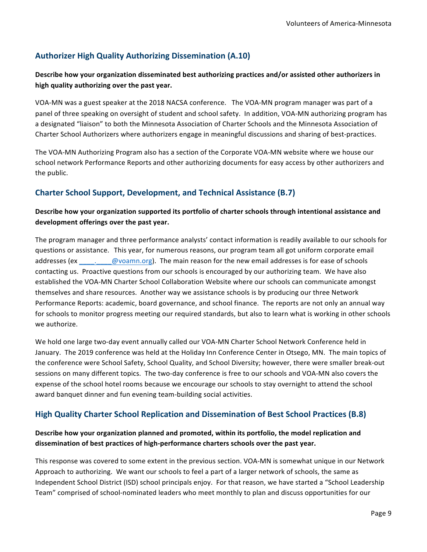#### **Authorizer High Quality Authorizing Dissemination (A.10)**

#### **Describe how your organization disseminated best authorizing practices and/or assisted other authorizers in** high quality authorizing over the past year.

VOA-MN was a guest speaker at the 2018 NACSA conference. The VOA-MN program manager was part of a panel of three speaking on oversight of student and school safety. In addition, VOA-MN authorizing program has a designated "liaison" to both the Minnesota Association of Charter Schools and the Minnesota Association of Charter School Authorizers where authorizers engage in meaningful discussions and sharing of best-practices.

The VOA-MN Authorizing Program also has a section of the Corporate VOA-MN website where we house our school network Performance Reports and other authorizing documents for easy access by other authorizers and the public.

#### **Charter School Support, Development, and Technical Assistance (B.7)**

#### Describe how your organization supported its portfolio of charter schools through intentional assistance and development offerings over the past year.

The program manager and three performance analysts' contact information is readily available to our schools for questions or assistance. This year, for numerous reasons, our program team all got uniform corporate email addresses (ex \_\_\_\_\_\_\_\_\_@voamn.org). The main reason for the new email addresses is for ease of schools contacting us. Proactive questions from our schools is encouraged by our authorizing team. We have also established the VOA-MN Charter School Collaboration Website where our schools can communicate amongst themselves and share resources. Another way we assistance schools is by producing our three Network Performance Reports: academic, board governance, and school finance. The reports are not only an annual way for schools to monitor progress meeting our required standards, but also to learn what is working in other schools we authorize.

We hold one large two-day event annually called our VOA-MN Charter School Network Conference held in January. The 2019 conference was held at the Holiday Inn Conference Center in Otsego, MN. The main topics of the conference were School Safety, School Quality, and School Diversity; however, there were smaller break-out sessions on many different topics. The two-day conference is free to our schools and VOA-MN also covers the expense of the school hotel rooms because we encourage our schools to stay overnight to attend the school award banquet dinner and fun evening team-building social activities.

#### **High Quality Charter School Replication and Dissemination of Best School Practices (B.8)**

#### Describe how your organization planned and promoted, within its portfolio, the model replication and dissemination of best practices of high-performance charters schools over the past year.

This response was covered to some extent in the previous section. VOA-MN is somewhat unique in our Network Approach to authorizing. We want our schools to feel a part of a larger network of schools, the same as Independent School District (ISD) school principals enjoy. For that reason, we have started a "School Leadership Team" comprised of school-nominated leaders who meet monthly to plan and discuss opportunities for our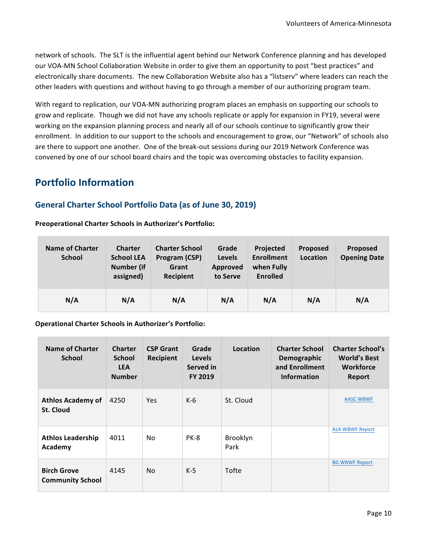network of schools. The SLT is the influential agent behind our Network Conference planning and has developed our VOA-MN School Collaboration Website in order to give them an opportunity to post "best practices" and electronically share documents. The new Collaboration Website also has a "listserv" where leaders can reach the other leaders with questions and without having to go through a member of our authorizing program team.

With regard to replication, our VOA-MN authorizing program places an emphasis on supporting our schools to grow and replicate. Though we did not have any schools replicate or apply for expansion in FY19, several were working on the expansion planning process and nearly all of our schools continue to significantly grow their enrollment. In addition to our support to the schools and encouragement to grow, our "Network" of schools also are there to support one another. One of the break-out sessions during our 2019 Network Conference was convened by one of our school board chairs and the topic was overcoming obstacles to facility expansion.

## **Portfolio Information**

#### General Charter School Portfolio Data (as of June 30, 2019)

#### **Preoperational Charter Schools in Authorizer's Portfolio:**

| <b>Name of Charter</b><br><b>School</b> | <b>Charter</b><br><b>School LEA</b><br><b>Number (if</b><br>assigned) | <b>Charter School</b><br>Program (CSP)<br>Grant<br>Recipient | Grade<br>Levels<br>Approved<br>to Serve | Projected<br><b>Enrollment</b><br>when Fully<br><b>Enrolled</b> | <b>Proposed</b><br>Location | <b>Proposed</b><br><b>Opening Date</b> |
|-----------------------------------------|-----------------------------------------------------------------------|--------------------------------------------------------------|-----------------------------------------|-----------------------------------------------------------------|-----------------------------|----------------------------------------|
| N/A                                     | N/A                                                                   | N/A                                                          | N/A                                     | N/A                                                             | N/A                         | N/A                                    |

**Operational Charter Schools in Authorizer's Portfolio:** 

| <b>Name of Charter</b><br><b>School</b>       | <b>Charter</b><br><b>School</b><br><b>LEA</b><br><b>Number</b> | <b>CSP Grant</b><br><b>Recipient</b> | Grade<br><b>Levels</b><br>Served in<br><b>FY 2019</b> | Location         | <b>Charter School</b><br>Demographic<br>and Enrollment<br><b>Information</b> | <b>Charter School's</b><br><b>World's Best</b><br><b>Workforce</b><br>Report |
|-----------------------------------------------|----------------------------------------------------------------|--------------------------------------|-------------------------------------------------------|------------------|------------------------------------------------------------------------------|------------------------------------------------------------------------------|
| <b>Athlos Academy of</b><br><b>St. Cloud</b>  | 4250                                                           | Yes                                  | $K-6$                                                 | St. Cloud        |                                                                              | <b>AASC WBWF</b>                                                             |
| <b>Athlos Leadership</b><br>Academy           | 4011                                                           | N <sub>o</sub>                       | PK-8                                                  | Brooklyn<br>Park |                                                                              | <b>ALA WBWF Report</b>                                                       |
| <b>Birch Grove</b><br><b>Community School</b> | 4145                                                           | <b>No</b>                            | $K-5$                                                 | Tofte            |                                                                              | <b>BG WBWF Report</b>                                                        |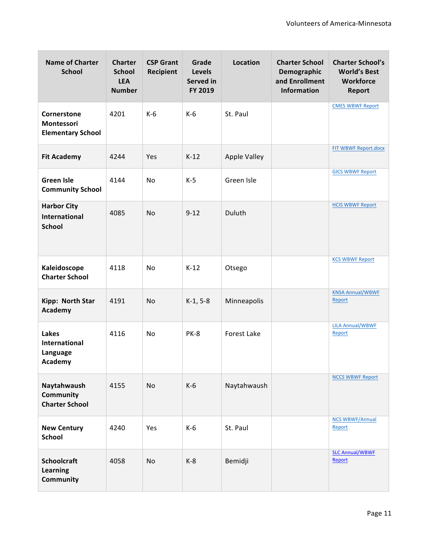| <b>Name of Charter</b><br><b>School</b>                     | <b>Charter</b><br><b>School</b><br><b>LEA</b><br><b>Number</b> | <b>CSP Grant</b><br><b>Recipient</b> | Grade<br><b>Levels</b><br>Served in<br>FY 2019 | <b>Location</b>     | <b>Charter School</b><br>Demographic<br>and Enrollment<br><b>Information</b> | <b>Charter School's</b><br><b>World's Best</b><br>Workforce<br><b>Report</b> |
|-------------------------------------------------------------|----------------------------------------------------------------|--------------------------------------|------------------------------------------------|---------------------|------------------------------------------------------------------------------|------------------------------------------------------------------------------|
| Cornerstone<br>Montessori<br><b>Elementary School</b>       | 4201                                                           | $K-6$                                | $K-6$                                          | St. Paul            |                                                                              | <b>CMES WBWF Report</b>                                                      |
| <b>Fit Academy</b>                                          | 4244                                                           | Yes                                  | $K-12$                                         | <b>Apple Valley</b> |                                                                              | FIT WBWF Report.docx                                                         |
| <b>Green Isle</b><br><b>Community School</b>                | 4144                                                           | No                                   | $K-5$                                          | Green Isle          |                                                                              | <b>GICS WBWF Report</b>                                                      |
| <b>Harbor City</b><br><b>International</b><br><b>School</b> | 4085                                                           | No                                   | $9 - 12$                                       | Duluth              |                                                                              | <b>HCIS WBWF Report</b>                                                      |
| Kaleidoscope<br><b>Charter School</b>                       | 4118                                                           | No                                   | $K-12$                                         | Otsego              |                                                                              | <b>KCS WBWF Report</b>                                                       |
| Kipp: North Star<br>Academy                                 | 4191                                                           | No                                   | $K-1, 5-8$                                     | Minneapolis         |                                                                              | <b>KNSA Annual/WBWF</b><br>Report                                            |
| Lakes<br><b>International</b><br>Language<br>Academy        | 4116                                                           | No                                   | <b>PK-8</b>                                    | Forest Lake         |                                                                              | <b>LILA Annual/WBWF</b><br>Report                                            |
| Naytahwaush<br>Community<br><b>Charter School</b>           | 4155                                                           | No                                   | $K-6$                                          | Naytahwaush         |                                                                              | <b>NCCS WBWF Report</b>                                                      |
| <b>New Century</b><br><b>School</b>                         | 4240                                                           | Yes                                  | $K-6$                                          | St. Paul            |                                                                              | <b>NCS WBWF/Annual</b><br>Report                                             |
| <b>Schoolcraft</b><br><b>Learning</b><br>Community          | 4058                                                           | No                                   | $K-8$                                          | Bemidji             |                                                                              | <b>SLC Annual/WBWF</b><br>Report                                             |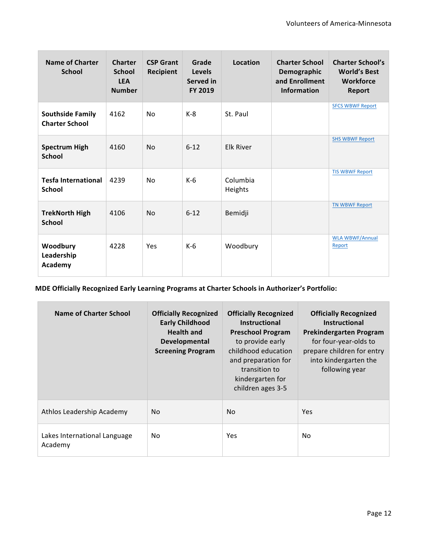| <b>Name of Charter</b><br><b>School</b>          | <b>Charter</b><br><b>School</b><br><b>LEA</b><br><b>Number</b> | <b>CSP Grant</b><br>Recipient | Grade<br><b>Levels</b><br>Served in<br>FY 2019 | Location            | <b>Charter School</b><br>Demographic<br>and Enrollment<br><b>Information</b> | <b>Charter School's</b><br><b>World's Best</b><br>Workforce<br><b>Report</b> |
|--------------------------------------------------|----------------------------------------------------------------|-------------------------------|------------------------------------------------|---------------------|------------------------------------------------------------------------------|------------------------------------------------------------------------------|
| <b>Southside Family</b><br><b>Charter School</b> | 4162                                                           | N <sub>0</sub>                | $K-8$                                          | St. Paul            |                                                                              | <b>SFCS WBWF Report</b>                                                      |
| <b>Spectrum High</b><br><b>School</b>            | 4160                                                           | N <sub>0</sub>                | $6 - 12$                                       | <b>Elk River</b>    |                                                                              | <b>SHS WBWF Report</b>                                                       |
| <b>Tesfa International</b><br><b>School</b>      | 4239                                                           | N <sub>0</sub>                | $K-6$                                          | Columbia<br>Heights |                                                                              | <b>TIS WBWF Report</b>                                                       |
| <b>TrekNorth High</b><br><b>School</b>           | 4106                                                           | N <sub>0</sub>                | $6 - 12$                                       | Bemidji             |                                                                              | <b>TN WBWF Report</b>                                                        |
| Woodbury<br>Leadership<br>Academy                | 4228                                                           | Yes                           | $K-6$                                          | Woodbury            |                                                                              | <b>WLA WBWF/Annual</b><br>Report                                             |

**MDE Officially Recognized Early Learning Programs at Charter Schools in Authorizer's Portfolio:** 

| Name of Charter School                  | <b>Officially Recognized</b><br><b>Early Childhood</b><br><b>Health and</b><br>Developmental<br><b>Screening Program</b> | <b>Officially Recognized</b><br><b>Instructional</b><br><b>Preschool Program</b><br>to provide early<br>childhood education<br>and preparation for<br>transition to<br>kindergarten for<br>children ages 3-5 | <b>Officially Recognized</b><br><b>Instructional</b><br>Prekindergarten Program<br>for four-year-olds to<br>prepare children for entry<br>into kindergarten the<br>following year |
|-----------------------------------------|--------------------------------------------------------------------------------------------------------------------------|--------------------------------------------------------------------------------------------------------------------------------------------------------------------------------------------------------------|-----------------------------------------------------------------------------------------------------------------------------------------------------------------------------------|
| Athlos Leadership Academy               | No.                                                                                                                      | N <sub>o</sub>                                                                                                                                                                                               | <b>Yes</b>                                                                                                                                                                        |
| Lakes International Language<br>Academy | No.                                                                                                                      | Yes                                                                                                                                                                                                          | No.                                                                                                                                                                               |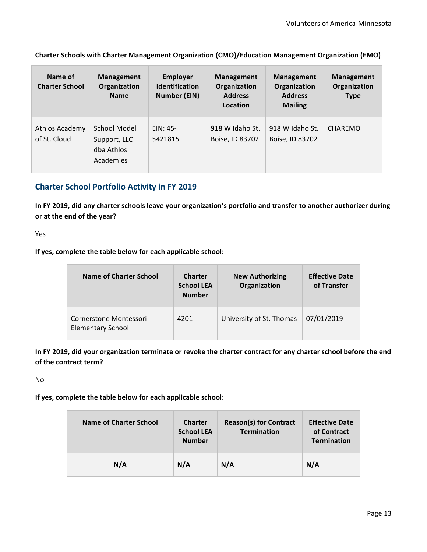**Charter Schools with Charter Management Organization (CMO)/Education Management Organization (EMO)** 

| Name of<br><b>Charter School</b> | Management<br>Organization<br><b>Name</b>                      | <b>Employer</b><br><b>Identification</b><br><b>Number (EIN)</b> | Management<br>Organization<br><b>Address</b><br>Location | Management<br>Organization<br><b>Address</b><br><b>Mailing</b> | <b>Management</b><br>Organization<br><b>Type</b> |
|----------------------------------|----------------------------------------------------------------|-----------------------------------------------------------------|----------------------------------------------------------|----------------------------------------------------------------|--------------------------------------------------|
| Athlos Academy<br>of St. Cloud   | <b>School Model</b><br>Support, LLC<br>dba Athlos<br>Academies | $EIN: 45-$<br>5421815                                           | 918 W Idaho St.<br>Boise, ID 83702                       | 918 W Idaho St.<br>Boise, ID 83702                             | CHAREMO                                          |

#### **Charter School Portfolio Activity in FY 2019**

In FY 2019, did any charter schools leave your organization's portfolio and transfer to another authorizer during or at the end of the year?

Yes

If yes, complete the table below for each applicable school:

| Name of Charter School                             | <b>Charter</b><br><b>School LEA</b><br><b>Number</b> | <b>New Authorizing</b><br>Organization | <b>Effective Date</b><br>of Transfer |
|----------------------------------------------------|------------------------------------------------------|----------------------------------------|--------------------------------------|
| Cornerstone Montessori<br><b>Elementary School</b> | 4201                                                 | University of St. Thomas               | 07/01/2019                           |

In FY 2019, did your organization terminate or revoke the charter contract for any charter school before the end of the contract term?

No

If yes, complete the table below for each applicable school:

| Name of Charter School | <b>Charter</b><br><b>School LEA</b><br><b>Number</b> | <b>Reason(s) for Contract</b><br><b>Termination</b> | <b>Effective Date</b><br>of Contract<br>Termination |
|------------------------|------------------------------------------------------|-----------------------------------------------------|-----------------------------------------------------|
| N/A                    | N/A                                                  | N/A                                                 | N/A                                                 |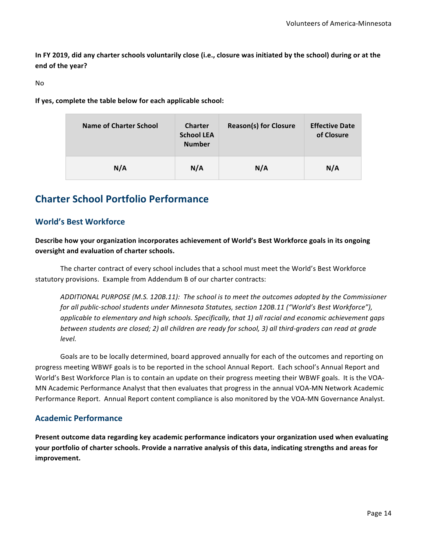In FY 2019, did any charter schools voluntarily close (i.e., closure was initiated by the school) during or at the **end of the year?**

No

If yes, complete the table below for each applicable school:

| Name of Charter School | <b>Charter</b><br><b>School LEA</b><br><b>Number</b> | <b>Reason(s) for Closure</b> | <b>Effective Date</b><br>of Closure |
|------------------------|------------------------------------------------------|------------------------------|-------------------------------------|
| N/A                    | N/A                                                  | N/A                          | N/A                                 |

## **Charter School Portfolio Performance**

#### **World's Best Workforce**

#### Describe how your organization incorporates achievement of World's Best Workforce goals in its ongoing **oversight and evaluation of charter schools.**

The charter contract of every school includes that a school must meet the World's Best Workforce statutory provisions. Example from Addendum B of our charter contracts:

ADDITIONAL PURPOSE (M.S. 120B.11): The school is to meet the outcomes adopted by the Commissioner *for all public-school students under Minnesota Statutes, section 120B.11 ("World's Best Workforce"),* applicable to elementary and high schools. Specifically, that 1) all racial and economic achievement gaps *between students are closed; 2) all children are ready for school, 3) all third-graders can read at grade level.*

Goals are to be locally determined, board approved annually for each of the outcomes and reporting on progress meeting WBWF goals is to be reported in the school Annual Report. Each school's Annual Report and World's Best Workforce Plan is to contain an update on their progress meeting their WBWF goals. It is the VOA-MN Academic Performance Analyst that then evaluates that progress in the annual VOA-MN Network Academic Performance Report. Annual Report content compliance is also monitored by the VOA-MN Governance Analyst.

#### **Academic Performance**

Present outcome data regarding key academic performance indicators your organization used when evaluating your portfolio of charter schools. Provide a narrative analysis of this data, indicating strengths and areas for **improvement.**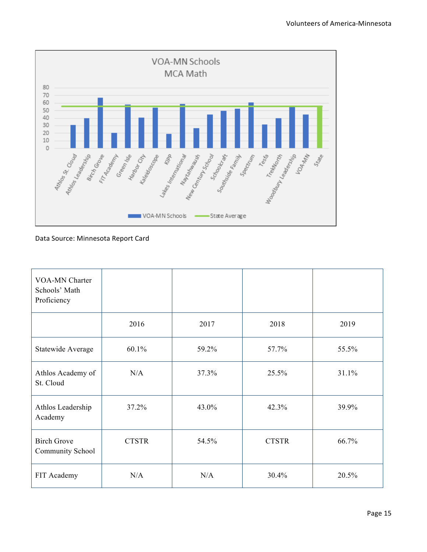

Data Source: Minnesota Report Card

| <b>VOA-MN Charter</b><br>Schools' Math<br>Proficiency |              |       |              |       |
|-------------------------------------------------------|--------------|-------|--------------|-------|
|                                                       | 2016         | 2017  | 2018         | 2019  |
| Statewide Average                                     | 60.1%        | 59.2% | 57.7%        | 55.5% |
| Athlos Academy of<br>St. Cloud                        | N/A          | 37.3% | 25.5%        | 31.1% |
| Athlos Leadership<br>Academy                          | 37.2%        | 43.0% | 42.3%        | 39.9% |
| <b>Birch Grove</b><br>Community School                | <b>CTSTR</b> | 54.5% | <b>CTSTR</b> | 66.7% |
| FIT Academy                                           | N/A          | N/A   | 30.4%        | 20.5% |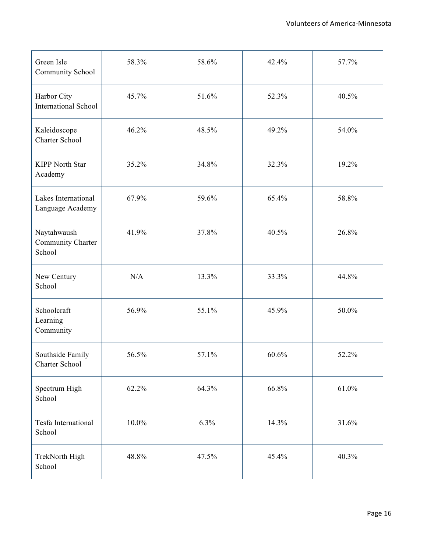| Green Isle<br>Community School             | 58.3%    | 58.6% | 42.4% | 57.7% |
|--------------------------------------------|----------|-------|-------|-------|
| Harbor City<br><b>International School</b> | 45.7%    | 51.6% | 52.3% | 40.5% |
| Kaleidoscope<br>Charter School             | 46.2%    | 48.5% | 49.2% | 54.0% |
| <b>KIPP North Star</b><br>Academy          | 35.2%    | 34.8% | 32.3% | 19.2% |
| Lakes International<br>Language Academy    | 67.9%    | 59.6% | 65.4% | 58.8% |
| Naytahwaush<br>Community Charter<br>School | 41.9%    | 37.8% | 40.5% | 26.8% |
| New Century<br>School                      | N/A      | 13.3% | 33.3% | 44.8% |
| Schoolcraft<br>Learning<br>Community       | 56.9%    | 55.1% | 45.9% | 50.0% |
| Southside Family<br>Charter School         | 56.5%    | 57.1% | 60.6% | 52.2% |
| Spectrum High<br>School                    | 62.2%    | 64.3% | 66.8% | 61.0% |
| Tesfa International<br>School              | $10.0\%$ | 6.3%  | 14.3% | 31.6% |
| TrekNorth High<br>School                   | 48.8%    | 47.5% | 45.4% | 40.3% |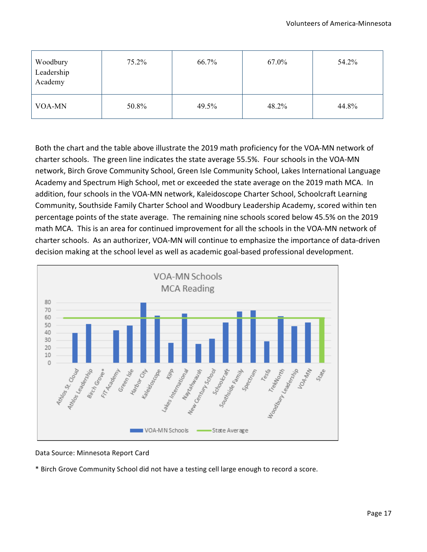| Woodbury<br>Leadership<br>Academy | $75.2\%$ | 66.7% | 67.0% | 54.2% |
|-----------------------------------|----------|-------|-------|-------|
| VOA-MN                            | 50.8%    | 49.5% | 48.2% | 44.8% |

Both the chart and the table above illustrate the 2019 math proficiency for the VOA-MN network of charter schools. The green line indicates the state average 55.5%. Four schools in the VOA-MN network, Birch Grove Community School, Green Isle Community School, Lakes International Language Academy and Spectrum High School, met or exceeded the state average on the 2019 math MCA. In addition, four schools in the VOA-MN network, Kaleidoscope Charter School, Schoolcraft Learning Community, Southside Family Charter School and Woodbury Leadership Academy, scored within ten percentage points of the state average. The remaining nine schools scored below 45.5% on the 2019 math MCA. This is an area for continued improvement for all the schools in the VOA-MN network of charter schools. As an authorizer, VOA-MN will continue to emphasize the importance of data-driven decision making at the school level as well as academic goal-based professional development.



Data Source: Minnesota Report Card

\* Birch Grove Community School did not have a testing cell large enough to record a score.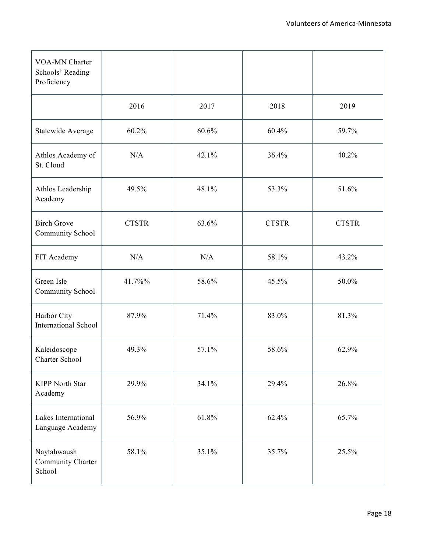| VOA-MN Charter<br>Schools' Reading<br>Proficiency |              |       |              |              |
|---------------------------------------------------|--------------|-------|--------------|--------------|
|                                                   | 2016         | 2017  | 2018         | 2019         |
| Statewide Average                                 | 60.2%        | 60.6% | 60.4%        | 59.7%        |
| Athlos Academy of<br>St. Cloud                    | N/A          | 42.1% | 36.4%        | 40.2%        |
| Athlos Leadership<br>Academy                      | 49.5%        | 48.1% | 53.3%        | 51.6%        |
| <b>Birch Grove</b><br>Community School            | <b>CTSTR</b> | 63.6% | <b>CTSTR</b> | <b>CTSTR</b> |
| FIT Academy                                       | N/A          | N/A   | 58.1%        | 43.2%        |
| Green Isle<br>Community School                    | 41.7%%       | 58.6% | 45.5%        | 50.0%        |
| Harbor City<br><b>International School</b>        | 87.9%        | 71.4% | 83.0%        | 81.3%        |
| Kaleidoscope<br>Charter School                    | 49.3%        | 57.1% | 58.6%        | 62.9%        |
| <b>KIPP North Star</b><br>Academy                 | 29.9%        | 34.1% | 29.4%        | 26.8%        |
| Lakes International<br>Language Academy           | 56.9%        | 61.8% | 62.4%        | 65.7%        |
| Naytahwaush<br>Community Charter<br>School        | 58.1%        | 35.1% | 35.7%        | 25.5%        |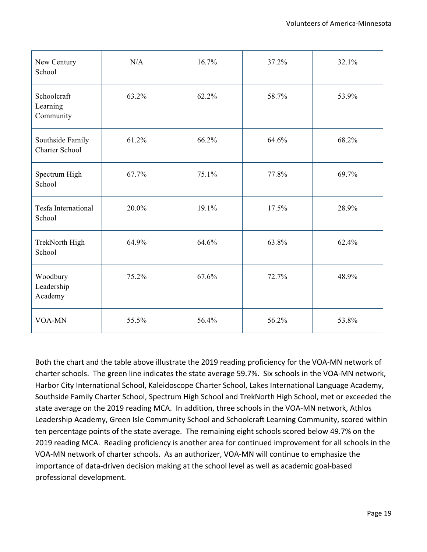| New Century<br>School                     | N/A   | 16.7% | 37.2% | 32.1% |
|-------------------------------------------|-------|-------|-------|-------|
| Schoolcraft<br>Learning<br>Community      | 63.2% | 62.2% | 58.7% | 53.9% |
| Southside Family<br><b>Charter School</b> | 61.2% | 66.2% | 64.6% | 68.2% |
| Spectrum High<br>School                   | 67.7% | 75.1% | 77.8% | 69.7% |
| Tesfa International<br>School             | 20.0% | 19.1% | 17.5% | 28.9% |
| TrekNorth High<br>School                  | 64.9% | 64.6% | 63.8% | 62.4% |
| Woodbury<br>Leadership<br>Academy         | 75.2% | 67.6% | 72.7% | 48.9% |
| VOA-MN                                    | 55.5% | 56.4% | 56.2% | 53.8% |

Both the chart and the table above illustrate the 2019 reading proficiency for the VOA-MN network of charter schools. The green line indicates the state average 59.7%. Six schools in the VOA-MN network, Harbor City International School, Kaleidoscope Charter School, Lakes International Language Academy, Southside Family Charter School, Spectrum High School and TrekNorth High School, met or exceeded the state average on the 2019 reading MCA. In addition, three schools in the VOA-MN network, Athlos Leadership Academy, Green Isle Community School and Schoolcraft Learning Community, scored within ten percentage points of the state average. The remaining eight schools scored below 49.7% on the 2019 reading MCA. Reading proficiency is another area for continued improvement for all schools in the VOA-MN network of charter schools. As an authorizer, VOA-MN will continue to emphasize the importance of data-driven decision making at the school level as well as academic goal-based professional development.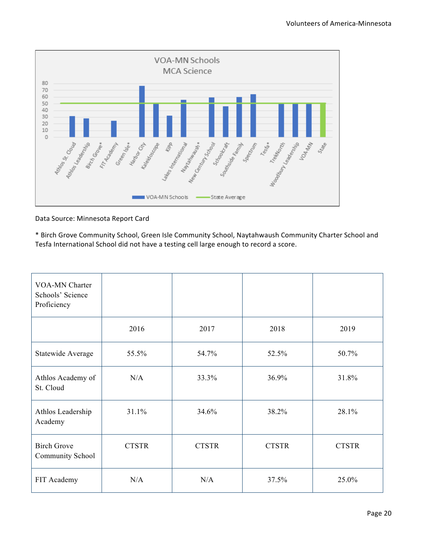

Data Source: Minnesota Report Card

\* Birch Grove Community School, Green Isle Community School, Naytahwaush Community Charter School and Tesfa International School did not have a testing cell large enough to record a score.

| <b>VOA-MN Charter</b><br>Schools' Science<br>Proficiency |              |              |              |              |
|----------------------------------------------------------|--------------|--------------|--------------|--------------|
|                                                          | 2016         | 2017         | 2018         | 2019         |
| Statewide Average                                        | 55.5%        | 54.7%        | 52.5%        | 50.7%        |
| Athlos Academy of<br>St. Cloud                           | N/A          | 33.3%        | 36.9%        | 31.8%        |
| Athlos Leadership<br>Academy                             | 31.1%        | 34.6%        | 38.2%        | 28.1%        |
| <b>Birch Grove</b><br>Community School                   | <b>CTSTR</b> | <b>CTSTR</b> | <b>CTSTR</b> | <b>CTSTR</b> |
| FIT Academy                                              | N/A          | N/A          | 37.5%        | 25.0%        |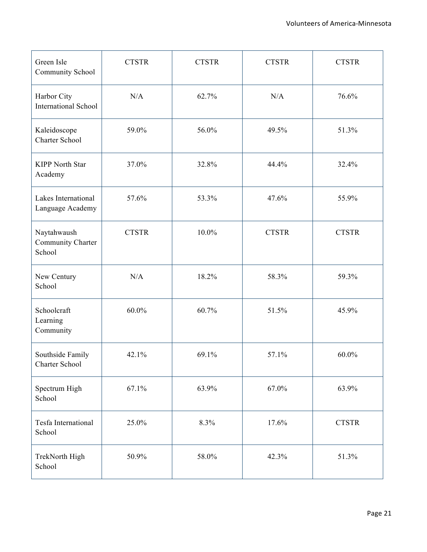| Green Isle<br>Community School             | <b>CTSTR</b> | <b>CTSTR</b> | <b>CTSTR</b> | <b>CTSTR</b> |
|--------------------------------------------|--------------|--------------|--------------|--------------|
| Harbor City<br><b>International School</b> | N/A          | 62.7%        | N/A          | 76.6%        |
| Kaleidoscope<br>Charter School             | 59.0%        | 56.0%        | 49.5%        | 51.3%        |
| <b>KIPP North Star</b><br>Academy          | 37.0%        | 32.8%        | 44.4%        | 32.4%        |
| Lakes International<br>Language Academy    | 57.6%        | 53.3%        | 47.6%        | 55.9%        |
| Naytahwaush<br>Community Charter<br>School | <b>CTSTR</b> | 10.0%        | <b>CTSTR</b> | <b>CTSTR</b> |
| New Century<br>School                      | N/A          | 18.2%        | 58.3%        | 59.3%        |
| Schoolcraft<br>Learning<br>Community       | 60.0%        | 60.7%        | 51.5%        | 45.9%        |
| Southside Family<br>Charter School         | 42.1%        | 69.1%        | 57.1%        | 60.0%        |
| Spectrum High<br>School                    | 67.1%        | 63.9%        | 67.0%        | 63.9%        |
| Tesfa International<br>School              | 25.0%        | 8.3%         | 17.6%        | <b>CTSTR</b> |
| TrekNorth High<br>School                   | 50.9%        | 58.0%        | 42.3%        | 51.3%        |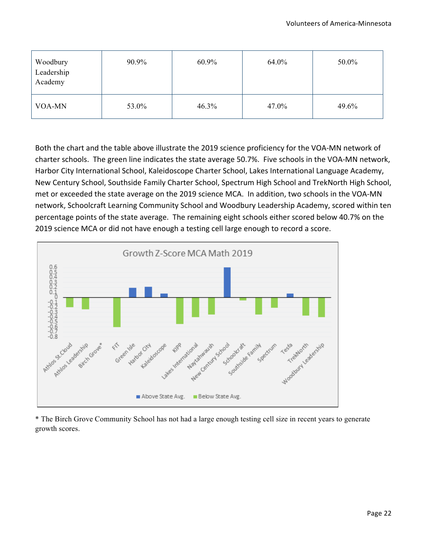| Woodbury<br>Leadership<br>Academy | 90.9% | 60.9% | 64.0% | 50.0% |
|-----------------------------------|-------|-------|-------|-------|
| VOA-MN                            | 53.0% | 46.3% | 47.0% | 49.6% |

Both the chart and the table above illustrate the 2019 science proficiency for the VOA-MN network of charter schools. The green line indicates the state average 50.7%. Five schools in the VOA-MN network, Harbor City International School, Kaleidoscope Charter School, Lakes International Language Academy, New Century School, Southside Family Charter School, Spectrum High School and TrekNorth High School, met or exceeded the state average on the 2019 science MCA. In addition, two schools in the VOA-MN network, Schoolcraft Learning Community School and Woodbury Leadership Academy, scored within ten percentage points of the state average. The remaining eight schools either scored below 40.7% on the 2019 science MCA or did not have enough a testing cell large enough to record a score.



\* The Birch Grove Community School has not had a large enough testing cell size in recent years to generate growth scores.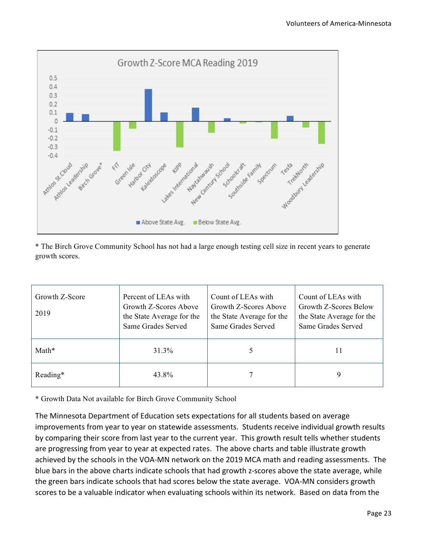

\* The Birch Grove Community School has not had a large enough testing cell size in recent years to generate growth scores.

| Growth Z-Score<br>2019 | Percent of LEAs with<br>Growth Z-Scores Above<br>the State Average for the<br>Same Grades Served | Count of LEAs with<br>Growth Z-Scores Above<br>the State Average for the<br>Same Grades Served | Count of LEAs with<br>Growth Z-Scores Below<br>the State Average for the<br>Same Grades Served |  |  |  |
|------------------------|--------------------------------------------------------------------------------------------------|------------------------------------------------------------------------------------------------|------------------------------------------------------------------------------------------------|--|--|--|
| Math*                  | 31.3%                                                                                            |                                                                                                |                                                                                                |  |  |  |
| Reading*               | 43.8%                                                                                            |                                                                                                | 9                                                                                              |  |  |  |

\* Growth Data Not available for Birch Grove Community School

The Minnesota Department of Education sets expectations for all students based on average improvements from year to year on statewide assessments. Students receive individual growth results by comparing their score from last year to the current year. This growth result tells whether students are progressing from year to year at expected rates. The above charts and table illustrate growth achieved by the schools in the VOA-MN network on the 2019 MCA math and reading assessments. The blue bars in the above charts indicate schools that had growth z-scores above the state average, while the green bars indicate schools that had scores below the state average. VOA-MN considers growth scores to be a valuable indicator when evaluating schools within its network. Based on data from the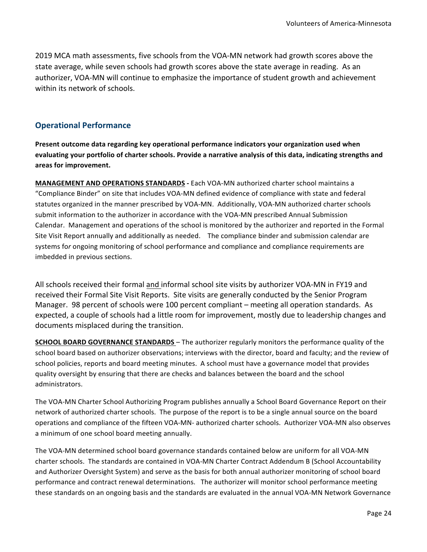2019 MCA math assessments, five schools from the VOA-MN network had growth scores above the state average, while seven schools had growth scores above the state average in reading. As an authorizer, VOA-MN will continue to emphasize the importance of student growth and achievement within its network of schools.

#### **Operational Performance**

Present outcome data regarding key operational performance indicators your organization used when evaluating your portfolio of charter schools. Provide a narrative analysis of this data, indicating strengths and **areas for improvement.**

**MANAGEMENT AND OPERATIONS STANDARDS** - Each VOA-MN authorized charter school maintains a "Compliance Binder" on site that includes VOA-MN defined evidence of compliance with state and federal statutes organized in the manner prescribed by VOA-MN. Additionally, VOA-MN authorized charter schools submit information to the authorizer in accordance with the VOA-MN prescribed Annual Submission Calendar. Management and operations of the school is monitored by the authorizer and reported in the Formal Site Visit Report annually and additionally as needed. The compliance binder and submission calendar are systems for ongoing monitoring of school performance and compliance and compliance requirements are imbedded in previous sections.

All schools received their formal and informal school site visits by authorizer VOA-MN in FY19 and received their Formal Site Visit Reports. Site visits are generally conducted by the Senior Program Manager. 98 percent of schools were 100 percent compliant – meeting all operation standards. As expected, a couple of schools had a little room for improvement, mostly due to leadership changes and documents misplaced during the transition.

**SCHOOL BOARD GOVERNANCE STANDARDS** – The authorizer regularly monitors the performance quality of the school board based on authorizer observations; interviews with the director, board and faculty; and the review of school policies, reports and board meeting minutes. A school must have a governance model that provides quality oversight by ensuring that there are checks and balances between the board and the school administrators. 

The VOA-MN Charter School Authorizing Program publishes annually a School Board Governance Report on their network of authorized charter schools. The purpose of the report is to be a single annual source on the board operations and compliance of the fifteen VOA-MN- authorized charter schools. Authorizer VOA-MN also observes a minimum of one school board meeting annually.

The VOA-MN determined school board governance standards contained below are uniform for all VOA-MN charter schools. The standards are contained in VOA-MN Charter Contract Addendum B (School Accountability and Authorizer Oversight System) and serve as the basis for both annual authorizer monitoring of school board performance and contract renewal determinations. The authorizer will monitor school performance meeting these standards on an ongoing basis and the standards are evaluated in the annual VOA-MN Network Governance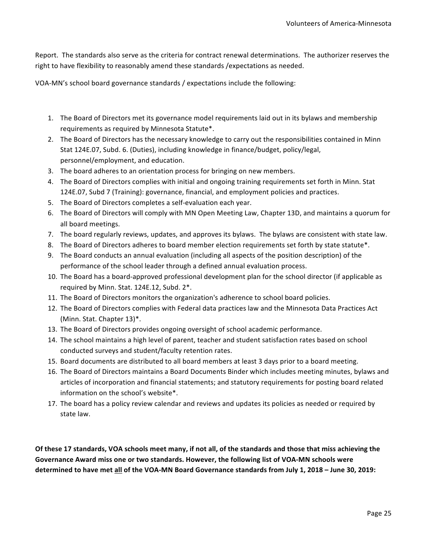Report. The standards also serve as the criteria for contract renewal determinations. The authorizer reserves the right to have flexibility to reasonably amend these standards / expectations as needed.

VOA-MN's school board governance standards / expectations include the following:

- 1. The Board of Directors met its governance model requirements laid out in its bylaws and membership requirements as required by Minnesota Statute\*.
- 2. The Board of Directors has the necessary knowledge to carry out the responsibilities contained in Minn Stat 124E.07, Subd. 6. (Duties), including knowledge in finance/budget, policy/legal, personnel/employment, and education.
- 3. The board adheres to an orientation process for bringing on new members.
- 4. The Board of Directors complies with initial and ongoing training requirements set forth in Minn. Stat 124E.07, Subd 7 (Training): governance, financial, and employment policies and practices.
- 5. The Board of Directors completes a self-evaluation each year.
- 6. The Board of Directors will comply with MN Open Meeting Law, Chapter 13D, and maintains a quorum for all board meetings.
- 7. The board regularly reviews, updates, and approves its bylaws. The bylaws are consistent with state law.
- 8. The Board of Directors adheres to board member election requirements set forth by state statute\*.
- 9. The Board conducts an annual evaluation (including all aspects of the position description) of the performance of the school leader through a defined annual evaluation process.
- 10. The Board has a board-approved professional development plan for the school director (if applicable as required by Minn. Stat. 124E.12, Subd. 2\*.
- 11. The Board of Directors monitors the organization's adherence to school board policies.
- 12. The Board of Directors complies with Federal data practices law and the Minnesota Data Practices Act (Minn. Stat. Chapter 13)\*.
- 13. The Board of Directors provides ongoing oversight of school academic performance.
- 14. The school maintains a high level of parent, teacher and student satisfaction rates based on school conducted surveys and student/faculty retention rates.
- 15. Board documents are distributed to all board members at least 3 days prior to a board meeting.
- 16. The Board of Directors maintains a Board Documents Binder which includes meeting minutes, bylaws and articles of incorporation and financial statements; and statutory requirements for posting board related information on the school's website\*.
- 17. The board has a policy review calendar and reviews and updates its policies as needed or required by state law.

Of these 17 standards, VOA schools meet many, if not all, of the standards and those that miss achieving the Governance Award miss one or two standards. However, the following list of VOA-MN schools were determined to have met all of the VOA-MN Board Governance standards from July 1, 2018 – June 30, 2019: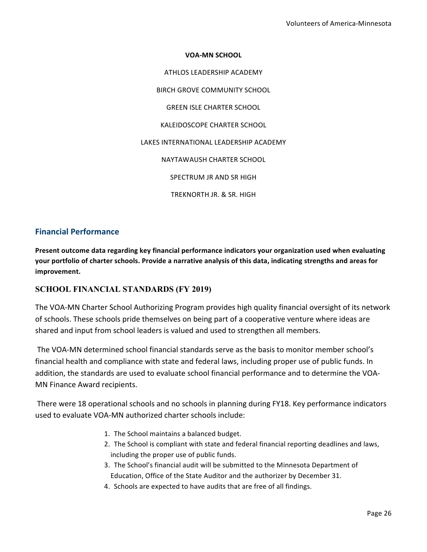## **VOA-MN SCHOOL** ATHLOS LEADERSHIP ACADEMY BIRCH GROVE COMMUNITY SCHOOL **GREEN ISLE CHARTER SCHOOL** KALEIDOSCOPE CHARTER SCHOOL LAKES INTERNATIONAL LEADERSHIP ACADEMY NAYTAWAUSH CHARTER SCHOOL SPECTRUM JR AND SR HIGH TREKNORTH JR. & SR. HIGH

#### **Financial Performance**

Present outcome data regarding key financial performance indicators your organization used when evaluating your portfolio of charter schools. Provide a narrative analysis of this data, indicating strengths and areas for **improvement.**

#### **SCHOOL FINANCIAL STANDARDS (FY 2019)**

The VOA-MN Charter School Authorizing Program provides high quality financial oversight of its network of schools. These schools pride themselves on being part of a cooperative venture where ideas are shared and input from school leaders is valued and used to strengthen all members.

The VOA-MN determined school financial standards serve as the basis to monitor member school's financial health and compliance with state and federal laws, including proper use of public funds. In addition, the standards are used to evaluate school financial performance and to determine the VOA-MN Finance Award recipients.

There were 18 operational schools and no schools in planning during FY18. Key performance indicators used to evaluate VOA-MN authorized charter schools include:

- 1. The School maintains a balanced budget.
- 2. The School is compliant with state and federal financial reporting deadlines and laws, including the proper use of public funds.
- 3. The School's financial audit will be submitted to the Minnesota Department of Education, Office of the State Auditor and the authorizer by December 31.
- 4. Schools are expected to have audits that are free of all findings.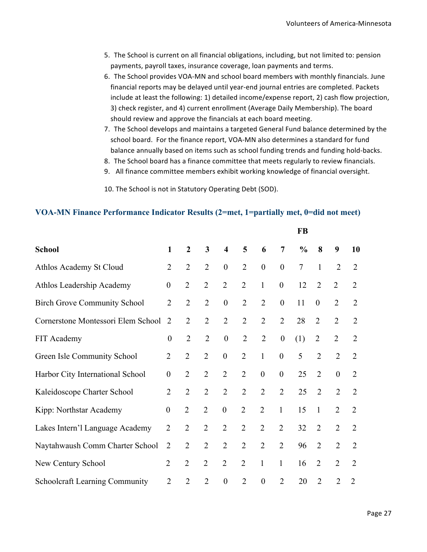- 5. The School is current on all financial obligations, including, but not limited to: pension payments, payroll taxes, insurance coverage, loan payments and terms.
- 6. The School provides VOA-MN and school board members with monthly financials. June financial reports may be delayed until year-end journal entries are completed. Packets include at least the following: 1) detailed income/expense report, 2) cash flow projection, 3) check register, and 4) current enrollment (Average Daily Membership). The board should review and approve the financials at each board meeting.
- 7. The School develops and maintains a targeted General Fund balance determined by the school board. For the finance report, VOA-MN also determines a standard for fund balance annually based on items such as school funding trends and funding hold-backs.
- 8. The School board has a finance committee that meets regularly to review financials.
- 9. All finance committee members exhibit working knowledge of financial oversight.
- 10. The School is not in Statutory Operating Debt (SOD).

#### **VOA-MN Finance Performance Indicator Results (2=met, 1=partially met, 0=did not meet)**

|                                       |                  |                  |                         |                         | <b>FB</b>      |                  |                  |                  |                  |                  |                |  |
|---------------------------------------|------------------|------------------|-------------------------|-------------------------|----------------|------------------|------------------|------------------|------------------|------------------|----------------|--|
| <b>School</b>                         | $\mathbf{1}$     | $\boldsymbol{2}$ | $\overline{\mathbf{3}}$ | $\overline{\mathbf{4}}$ | 5              | 6                | $\overline{7}$   | $\frac{0}{0}$    | 8                | 9                | 10             |  |
| Athlos Academy St Cloud               | 2                | $\overline{2}$   | $\overline{2}$          | $\boldsymbol{0}$        | $\overline{2}$ | $\boldsymbol{0}$ | $\boldsymbol{0}$ | $\boldsymbol{7}$ | $\mathbf{1}$     | $\overline{2}$   | $\overline{2}$ |  |
| Athlos Leadership Academy             | $\boldsymbol{0}$ | $\overline{2}$   | $\overline{2}$          | $\overline{2}$          | $\overline{2}$ | 1                | $\boldsymbol{0}$ | 12               | $\overline{2}$   | $\overline{2}$   | $\overline{2}$ |  |
| <b>Birch Grove Community School</b>   | $\overline{2}$   | $\overline{2}$   | $\overline{2}$          | $\boldsymbol{0}$        | $\overline{2}$ | $\overline{2}$   | $\boldsymbol{0}$ | 11               | $\boldsymbol{0}$ | $\overline{2}$   | $\overline{2}$ |  |
| Cornerstone Montessori Elem School    | $\overline{2}$   | $\overline{2}$   | $\overline{2}$          | $\overline{2}$          | $\overline{2}$ | $\overline{2}$   | $\overline{2}$   | 28               | $\overline{2}$   | $\overline{2}$   | $\overline{2}$ |  |
| FIT Academy                           | $\boldsymbol{0}$ | $\overline{2}$   | $\overline{2}$          | $\boldsymbol{0}$        | $\overline{2}$ | $\overline{2}$   | $\boldsymbol{0}$ | (1)              | $\overline{2}$   | $\overline{2}$   | $\overline{2}$ |  |
| Green Isle Community School           | $\overline{2}$   | $\overline{2}$   | $\overline{2}$          | $\boldsymbol{0}$        | $\overline{2}$ | $\mathbf{1}$     | $\boldsymbol{0}$ | 5                | $\overline{2}$   | $\overline{2}$   | $\overline{2}$ |  |
| Harbor City International School      | $\boldsymbol{0}$ | $\overline{2}$   | $\overline{2}$          | $\overline{2}$          | $\overline{2}$ | $\boldsymbol{0}$ | $\boldsymbol{0}$ | 25               | $\overline{2}$   | $\boldsymbol{0}$ | $\overline{2}$ |  |
| Kaleidoscope Charter School           | $\overline{2}$   | $\overline{2}$   | $\overline{2}$          | $\overline{2}$          | $\overline{2}$ | $\overline{2}$   | $\overline{2}$   | 25               | $\overline{2}$   | $\overline{2}$   | $\overline{2}$ |  |
| Kipp: Northstar Academy               | $\boldsymbol{0}$ | $\overline{2}$   | $\overline{2}$          | $\boldsymbol{0}$        | $\overline{2}$ | $\overline{2}$   | $\mathbf{1}$     | 15               | $\mathbf{1}$     | $\overline{2}$   | $\overline{2}$ |  |
| Lakes Intern'l Language Academy       | $\overline{2}$   | $\overline{2}$   | $\overline{2}$          | $\overline{2}$          | $\overline{2}$ | $\overline{2}$   | $\overline{2}$   | 32               | $\overline{2}$   | $\overline{2}$   | $\overline{2}$ |  |
| Naytahwaush Comm Charter School       | $\overline{2}$   | $\overline{2}$   | $\overline{2}$          | $\overline{2}$          | $\overline{2}$ | $\overline{2}$   | $\overline{2}$   | 96               | $\overline{2}$   | $\overline{2}$   | $\overline{2}$ |  |
| New Century School                    | $\overline{2}$   | $\overline{2}$   | $\overline{2}$          | $\overline{2}$          | $\overline{2}$ | 1                | $\mathbf{1}$     | 16               | $\overline{2}$   | $\overline{2}$   | $\overline{2}$ |  |
| <b>Schoolcraft Learning Community</b> | $\overline{2}$   | $\overline{2}$   | $\overline{2}$          | $\boldsymbol{0}$        | $\overline{2}$ | $\boldsymbol{0}$ | $\overline{2}$   | 20               | $\overline{2}$   | $\overline{2}$   | $\overline{2}$ |  |